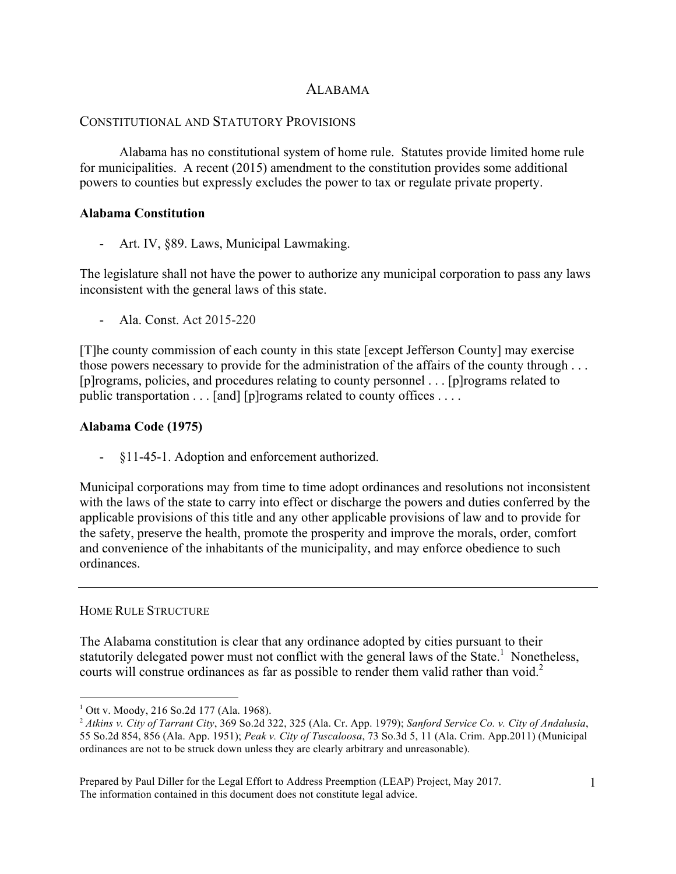# ALABAMA

# CONSTITUTIONAL AND STATUTORY PROVISIONS

Alabama has no constitutional system of home rule. Statutes provide limited home rule for municipalities. A recent (2015) amendment to the constitution provides some additional powers to counties but expressly excludes the power to tax or regulate private property.

#### **Alabama Constitution**

Art. IV, §89. Laws, Municipal Lawmaking.

The legislature shall not have the power to authorize any municipal corporation to pass any laws inconsistent with the general laws of this state.

- Ala. Const. Act 2015-220

[T]he county commission of each county in this state [except Jefferson County] may exercise those powers necessary to provide for the administration of the affairs of the county through . . . [p]rograms, policies, and procedures relating to county personnel . . . [p]rograms related to public transportation . . . [and] [p]rograms related to county offices . . . .

# **Alabama Code (1975)**

- §11-45-1. Adoption and enforcement authorized.

Municipal corporations may from time to time adopt ordinances and resolutions not inconsistent with the laws of the state to carry into effect or discharge the powers and duties conferred by the applicable provisions of this title and any other applicable provisions of law and to provide for the safety, preserve the health, promote the prosperity and improve the morals, order, comfort and convenience of the inhabitants of the municipality, and may enforce obedience to such ordinances.

#### HOME RULE STRUCTURE

The Alabama constitution is clear that any ordinance adopted by cities pursuant to their statutorily delegated power must not conflict with the general laws of the State.<sup>1</sup> Nonetheless, courts will construe ordinances as far as possible to render them valid rather than void.<sup>2</sup>

Prepared by Paul Diller for the Legal Effort to Address Preemption (LEAP) Project, May 2017. The information contained in this document does not constitute legal advice.

<sup>&</sup>lt;sup>1</sup> Ott v. Moody, 216 So.2d 177 (Ala. 1968).

<sup>2</sup> *Atkins v. City of Tarrant City*, 369 So.2d 322, 325 (Ala. Cr. App. 1979); *Sanford Service Co. v. City of Andalusia*, 55 So.2d 854, 856 (Ala. App. 1951); *Peak v. City of Tuscaloosa*, 73 So.3d 5, 11 (Ala. Crim. App.2011) (Municipal ordinances are not to be struck down unless they are clearly arbitrary and unreasonable).